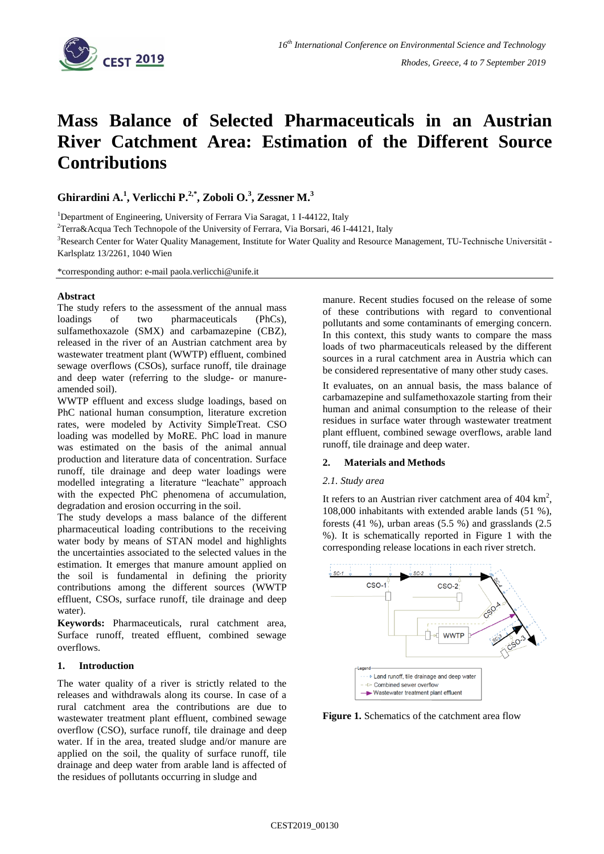

# **Mass Balance of Selected Pharmaceuticals in an Austrian River Catchment Area: Estimation of the Different Source Contributions**

**Ghirardini A. 1 , Verlicchi P. 2,\* , Zoboli O.<sup>3</sup> , Zessner M. 3**

<sup>1</sup>Department of Engineering, University of Ferrara Via Saragat, 1 I-44122, Italy

 $2$ Terra&Acqua Tech Technopole of the University of Ferrara, Via Borsari, 46 I-44121, Italy

<sup>3</sup>Research Center for Water Quality Management, Institute for Water Quality and Resource Management, TU-Technische Universität -Karlsplatz 13/2261, 1040 Wien

\*corresponding author: e-mail paola.verlicchi@unife.it

#### **Abstract**

The study refers to the assessment of the annual mass loadings of two pharmaceuticals (PhCs), sulfamethoxazole (SMX) and carbamazepine (CBZ), released in the river of an Austrian catchment area by wastewater treatment plant (WWTP) effluent, combined sewage overflows (CSOs), surface runoff, tile drainage and deep water (referring to the sludge- or manureamended soil).

WWTP effluent and excess sludge loadings, based on PhC national human consumption, literature excretion rates, were modeled by Activity SimpleTreat. CSO loading was modelled by MoRE. PhC load in manure was estimated on the basis of the animal annual production and literature data of concentration. Surface runoff, tile drainage and deep water loadings were modelled integrating a literature "leachate" approach with the expected PhC phenomena of accumulation, degradation and erosion occurring in the soil.

The study develops a mass balance of the different pharmaceutical loading contributions to the receiving water body by means of STAN model and highlights the uncertainties associated to the selected values in the estimation. It emerges that manure amount applied on the soil is fundamental in defining the priority contributions among the different sources (WWTP effluent, CSOs, surface runoff, tile drainage and deep water).

**Keywords:** Pharmaceuticals, rural catchment area, Surface runoff, treated effluent, combined sewage overflows.

## **1. Introduction**

The water quality of a river is strictly related to the releases and withdrawals along its course. In case of a rural catchment area the contributions are due to wastewater treatment plant effluent, combined sewage overflow (CSO), surface runoff, tile drainage and deep water. If in the area, treated sludge and/or manure are applied on the soil, the quality of surface runoff, tile drainage and deep water from arable land is affected of the residues of pollutants occurring in sludge and

manure. Recent studies focused on the release of some of these contributions with regard to conventional pollutants and some contaminants of emerging concern. In this context, this study wants to compare the mass loads of two pharmaceuticals released by the different sources in a rural catchment area in Austria which can be considered representative of many other study cases.

It evaluates, on an annual basis, the mass balance of carbamazepine and sulfamethoxazole starting from their human and animal consumption to the release of their residues in surface water through wastewater treatment plant effluent, combined sewage overflows, arable land runoff, tile drainage and deep water.

## **2. Materials and Methods**

## *2.1. Study area*

It refers to an Austrian river catchment area of  $404 \text{ km}^2$ , 108,000 inhabitants with extended arable lands (51 %), forests (41 %), urban areas (5.5 %) and grasslands (2.5 %). It is schematically reported in Figure 1 with the corresponding release locations in each river stretch.



**Figure 1.** Schematics of the catchment area flow